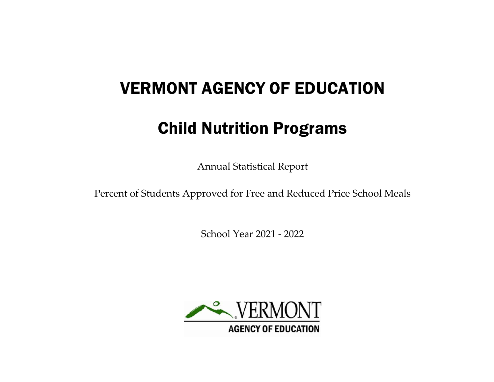# VERMONT AGENCY OF EDUCATION

# Child Nutrition Programs

Annual Statistical Report

Percent of Students Approved for Free and Reduced Price School Meals

School Year 2021 - 2022

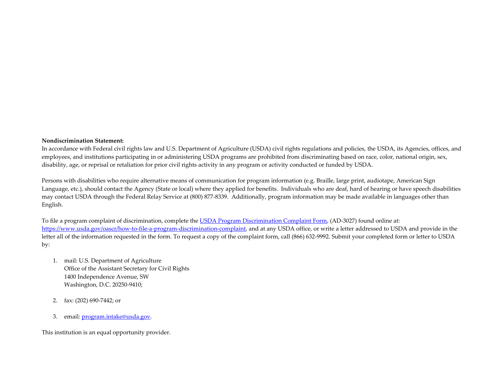#### **Nondiscrimination Statement:**

In accordance with Federal civil rights law and U.S. Department of Agriculture (USDA) civil rights regulations and policies, the USDA, its Agencies, offices, and employees, and institutions participating in or administering USDA programs are prohibited from discriminating based on race, color, national origin, sex, disability, age, or reprisal or retaliation for prior civil rights activity in any program or activity conducted or funded by USDA.

Persons with disabilities who require alternative means of communication for program information (e.g. Braille, large print, audiotape, American Sign Language, etc.), should contact the Agency (State or local) where they applied for benefits. Individuals who are deaf, hard of hearing or have speech disabilities may contact USDA through the Federal Relay Service at (800) 877-8339. Additionally, program information may be made available in languages other than English.

To file a program complaint of discrimination, complete the [USDA Program Discrimination Complaint Form,](https://www.usda.gov/sites/default/files/documents/USDA-OASCR%20P-Complaint-Form-0508-0002-508-11-28-17Fax2Mail.pdf) (AD-3027) found online at: [https://www.usda.gov/oascr/how-to-file-a-program-discrimination-complaint,](https://www.usda.gov/oascr/how-to-file-a-program-discrimination-complaint) and at any USDA office, or write a letter addressed to USDA and provide in the letter all of the information requested in the form. To request a copy of the complaint form, call (866) 632-9992. Submit your completed form or letter to USDA by:

- 1. mail: U.S. Department of Agriculture Office of the Assistant Secretary for Civil Rights 1400 Independence Avenue, SW Washington, D.C. 20250-9410;
- 2. fax: (202) 690-7442; or
- 3. email: [program.intake@usda.gov.](mailto:program.intake@usda.gov)

This institution is an equal opportunity provider.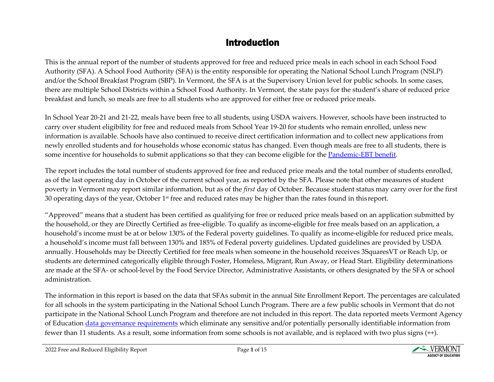# Introduction

This is the annual report of the number of students approved for free and reduced price meals in each school in each School Food Authority (SFA). A School Food Authority (SFA) is the entity responsible for operating the National School Lunch Program (NSLP) and/or the School Breakfast Program (SBP). In Vermont, the SFA is at the Supervisory Union level for public schools. In some cases, there are multiple School Districts within a School Food Authority. In Vermont, the state pays for the student's share of reduced price breakfast and lunch, so meals are free to all students who are approved for either free or reduced price meals.

In School Year 20-21 and 21-22, meals have been free to all students, using USDA waivers. However, schools have been instructed to carry over student eligibility for free and reduced meals from School Year 19-20 for students who remain enrolled, unless new information is available. Schools have also continued to receive direct certification information and to collect new applications from newly enrolled students and for households whose economic status has changed. Even though meals are free to all students, there is some incentive for households to submit applications so that they can become eligible for the [Pandemic-EBT benefit.](https://dcf.vermont.gov/esd/covid19/P-EBT)

The report includes the total number of students approved for free and reduced price meals and the total number of students enrolled, as of the last operating day in October of the current school year, as reported by the SFA. Please note that other measures of student poverty in Vermont may report similar information, but as of the *first* day of October. Because student status may carry over for the first 30 operating days of the year, October  $1<sup>st</sup>$  free and reduced rates may be higher than the rates found in this report.

"Approved" means that a student has been certified as qualifying for free or reduced price meals based on an application submitted by the household, or they are Directly Certified as free-eligible. To qualify as income-eligible for free meals based on an application, a household's income must be at or below 130% of the Federal poverty guidelines. To qualify as income-eligible for reduced price meals, a household's income must fall between 130% and 185% of Federal poverty guidelines. Updated guidelines are provided by USDA annually. Households may be Directly Certified for free meals when someone in the household receives 3SquaresVT or Reach Up, or students are determined categorically eligible through Foster, Homeless, Migrant, Run Away, or Head Start. Eligibility determinations are made at the SFA- or school-level by the Food Service Director, Administrative Assistants, or others designated by the SFA or school administration.

The information in this report is based on the data that SFAs submit in the annual Site Enrollment Report. The percentages are calculated for all schools in the system participating in the National School Lunch Program. There are a few public schools in Vermont that do not participate in the National School Lunch Program and therefore are not included in this report. The data reported meets Vermont Agency of Education [data governance requirements](https://education.vermont.gov/data-and-reporting/data-governance) which eliminate any sensitive and/or potentially personally identifiable information from fewer than 11 students. As a result, some information from some schools is not available, and is replaced with two plus signs (++).

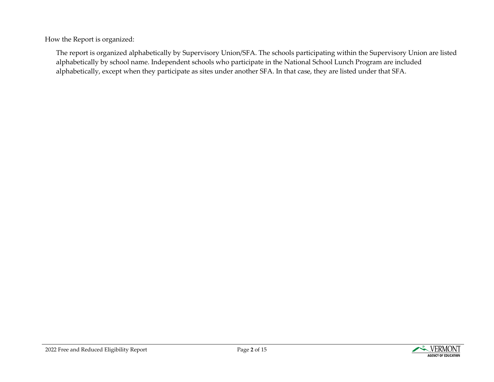How the Report is organized:

The report is organized alphabetically by Supervisory Union/SFA. The schools participating within the Supervisory Union are listed alphabetically by school name. Independent schools who participate in the National School Lunch Program are included alphabetically, except when they participate as sites under another SFA. In that case, they are listed under that SFA.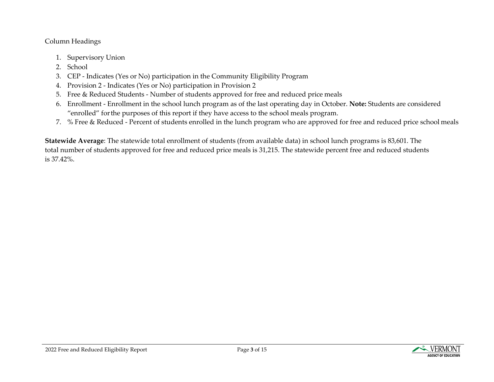### Column Headings

- 1. Supervisory Union
- 2. School
- 3. CEP Indicates (Yes or No) participation in the Community Eligibility Program
- 4. Provision 2 Indicates (Yes or No) participation in Provision 2
- 5. Free & Reduced Students Number of students approved for free and reduced price meals
- 6. Enrollment Enrollment in the school lunch program as of the last operating day in October. **Note:** Students are considered "enrolled" forthe purposes of this report if they have access to the school meals program.
- 7. % Free & Reduced Percent of students enrolled in the lunch program who are approved for free and reduced price school meals

**Statewide Average**: The statewide total enrollment of students (from available data) in school lunch programs is 83,601. The total number of students approved for free and reduced price meals is 31,215. The statewide percent free and reduced students is 37.42%.

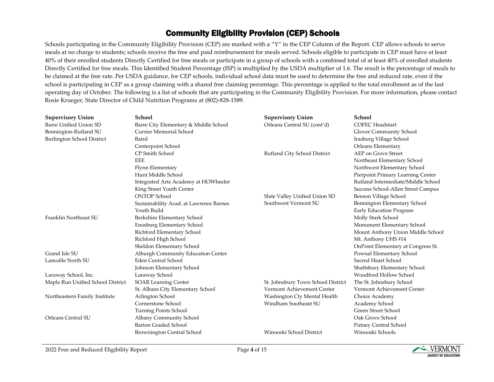## Community Eligibility Provision (CEP) Schools

Schools participating in the Community Eligibility Provision (CEP) are marked with a "Y" in the CEP Column of the Report. CEP allows schools to serve meals at no charge to students; schools receive the free and paid reimbursement for meals served. Schools eligible to participate in CEP must have at least 40% of their enrolled students Directly Certified for free meals or participate in a group of schools with a combined total of at least 40% of enrolled students Directly Certified for free meals. This Identified Student Percentage (ISP) is multiplied by the USDA multiplier of 1.6. The result is the percentage of meals to be claimed at the free rate. Per USDA guidance, for CEP schools, individual school data must be used to determine the free and reduced rate, even if the school is participating in CEP as a group claiming with a shared free claiming percentage. This percentage is applied to the total enrollment as of the last operating day of October. The following is a list of schools that are participating in the Community Eligibility Provision. For more information, please contact Rosie Krueger, State Director of Child Nutrition Programs at (802)-828-1589.

| <b>Supervisory Union</b>          | School                                  | <b>Supervisory Union</b>           | School                             |
|-----------------------------------|-----------------------------------------|------------------------------------|------------------------------------|
| Barre Unified Union SD            | Barre City Elementary & Middle School   | Orleans Central SU (cont'd)        | <b>COFEC Headstart</b>             |
| Bennington-Rutland SU             | <b>Currier Memorial School</b>          |                                    | Glover Community School            |
| <b>Burlington School District</b> | Baird                                   |                                    | Irasburg Village School            |
|                                   | Centerpoint School                      |                                    | Orleans Elementary                 |
|                                   | CP Smith School                         | Rutland City School District       | AEP on Grove Street                |
|                                   | <b>EEE</b>                              |                                    | Northeast Elementary School        |
|                                   | Flynn Elementary                        |                                    | Northwest Elementary School        |
|                                   | Hunt Middle School                      |                                    | Pierpoint Primary Learning Center  |
|                                   | Integrated Arts Academy at HOWheeler    |                                    | Rutland Intermediate/Middle School |
|                                   | King Street Youth Center                |                                    | Success School-Allen Street Campus |
|                                   | <b>ONTOP School</b>                     | Slate Valley Unified Union SD      | Benson Village School              |
|                                   | Sustainability Acad. at Lawrence Barnes | Southwest Vermont SU               | Bennington Elementary School       |
|                                   | Youth Build                             |                                    | Early Education Program            |
| Franklin Northeast SU             | Berkshire Elementary School             |                                    | Molly Stark School                 |
|                                   | Enosburg Elementary School              |                                    | Monument Elementary School         |
|                                   | Richford Elementary School              |                                    | Mount Anthony Union Middle School  |
|                                   | Richford High School                    |                                    | Mt. Anthony UHS #14                |
|                                   | Sheldon Elementary School               |                                    | OnPoint Elementary at Congress St. |
| Grand Isle SU                     | Alburgh Community Education Center      |                                    | Pownal Elementary School           |
| Lamoille North SU                 | <b>Eden Central School</b>              |                                    | Sacred Heart School                |
|                                   | Johnson Elementary School               |                                    | Shaftsbury Elementary School       |
| Laraway School, Inc.              | Laraway School                          |                                    | Woodford Hollow School             |
| Maple Run Unified School District | <b>SOAR Learning Center</b>             | St. Johnsbury Town School District | The St. Johnsbury School           |
|                                   | St. Albans City Elementary School       | Vermont Achievement Center         | Vermont Achievement Center         |
| Northeastern Family Institute     | Arlington School                        | Washington Cty Mental Health       | Choice Academy                     |
|                                   | Cornerstone School                      | Windham Southeast SU               | Academy School                     |
|                                   | Turning Points School                   |                                    | Green Street School                |
| Orleans Central SU                | Albany Community School                 |                                    | Oak Grove School                   |
|                                   | <b>Barton Graded School</b>             |                                    | Putney Central School              |
|                                   | <b>Brownington Central School</b>       | Winooski School District           | Winooski Schools                   |

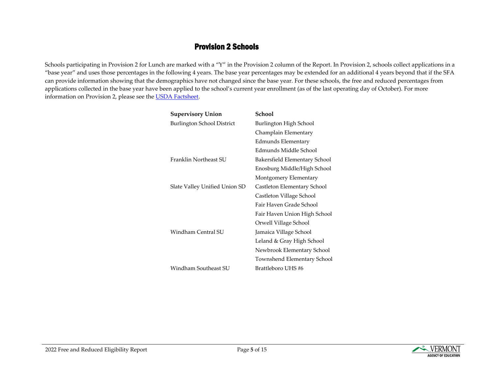### Provision 2 Schools

Schools participating in Provision 2 for Lunch are marked with a "Y" in the Provision 2 column of the Report. In Provision 2, schools collect applications in a "base year" and uses those percentages in the following 4 years. The base year percentages may be extended for an additional 4 years beyond that if the SFA can provide information showing that the demographics have not changed since the base year. For these schools, the free and reduced percentages from applications collected in the base year have been applied to the school's current year enrollment (as of the last operating day of October). For more information on Provision 2, please see th[e USDA Factsheet.](https://www.fns.usda.gov/school-meals/provisions-1-2-and-3)

| <b>Supervisory Union</b>      | School                        |
|-------------------------------|-------------------------------|
| Burlington School District    | Burlington High School        |
|                               | Champlain Elementary          |
|                               | Edmunds Elementary            |
|                               | Edmunds Middle School         |
| Franklin Northeast SU         | Bakersfield Elementary School |
|                               | Enosburg Middle/High School   |
|                               | Montgomery Elementary         |
| Slate Valley Unified Union SD | Castleton Elementary School   |
|                               | Castleton Village School      |
|                               | Fair Haven Grade School       |
|                               | Fair Haven Union High School  |
|                               | Orwell Village School         |
| Windham Central SU            | Jamaica Village School        |
|                               | Leland & Gray High School     |
|                               | Newbrook Elementary School    |
|                               | Townshend Elementary School   |
| Windham Southeast SU          | Brattleboro UHS #6            |

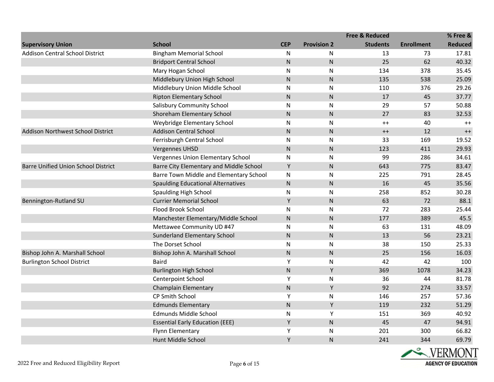|                                            |                                           |            |                    | <b>Free &amp; Reduced</b> |                   | % Free &       |
|--------------------------------------------|-------------------------------------------|------------|--------------------|---------------------------|-------------------|----------------|
| <b>Supervisory Union</b>                   | <b>School</b>                             | <b>CEP</b> | <b>Provision 2</b> | <b>Students</b>           | <b>Enrollment</b> | <b>Reduced</b> |
| <b>Addison Central School District</b>     | <b>Bingham Memorial School</b>            | N          | N                  | 13                        | 73                | 17.81          |
|                                            | <b>Bridport Central School</b>            | ${\sf N}$  | ${\sf N}$          | 25                        | 62                | 40.32          |
|                                            | Mary Hogan School                         | ${\sf N}$  | ${\sf N}$          | 134                       | 378               | 35.45          |
|                                            | Middlebury Union High School              | ${\sf N}$  | ${\sf N}$          | 135                       | 538               | 25.09          |
|                                            | Middlebury Union Middle School            | N          | $\mathsf{N}$       | 110                       | 376               | 29.26          |
|                                            | <b>Ripton Elementary School</b>           | ${\sf N}$  | ${\sf N}$          | 17                        | 45                | 37.77          |
|                                            | <b>Salisbury Community School</b>         | ${\sf N}$  | ${\sf N}$          | 29                        | 57                | 50.88          |
|                                            | Shoreham Elementary School                | ${\sf N}$  | ${\sf N}$          | 27                        | 83                | 32.53          |
|                                            | Weybridge Elementary School               | ${\sf N}$  | $\mathsf{N}$       | $++$                      | 40                | $++$           |
| Addison Northwest School District          | <b>Addison Central School</b>             | ${\sf N}$  | ${\sf N}$          | $^{++}$                   | 12                | $++$           |
|                                            | Ferrisburgh Central School                | N          | N                  | 33                        | 169               | 19.52          |
|                                            | <b>Vergennes UHSD</b>                     | ${\sf N}$  | $\mathsf{N}$       | 123                       | 411               | 29.93          |
|                                            | Vergennes Union Elementary School         | N          | ${\sf N}$          | 99                        | 286               | 34.61          |
| <b>Barre Unified Union School District</b> | Barre City Elementary and Middle School   | Υ          | ${\sf N}$          | 643                       | 775               | 83.47          |
|                                            | Barre Town Middle and Elementary School   | N          | $\mathsf{N}$       | 225                       | 791               | 28.45          |
|                                            | <b>Spaulding Educational Alternatives</b> | ${\sf N}$  | ${\sf N}$          | 16                        | 45                | 35.56          |
|                                            | <b>Spaulding High School</b>              | N          | ${\sf N}$          | 258                       | 852               | 30.28          |
| Bennington-Rutland SU                      | <b>Currier Memorial School</b>            | Υ          | ${\sf N}$          | 63                        | 72                | 88.1           |
|                                            | Flood Brook School                        | ${\sf N}$  | N                  | 72                        | 283               | 25.44          |
|                                            | Manchester Elementary/Middle School       | ${\sf N}$  | ${\sf N}$          | 177                       | 389               | 45.5           |
|                                            | Mettawee Community UD #47                 | N          | ${\sf N}$          | 63                        | 131               | 48.09          |
|                                            | Sunderland Elementary School              | ${\sf N}$  | $\mathsf{N}$       | 13                        | 56                | 23.21          |
|                                            | The Dorset School                         | N          | $\mathsf{N}$       | 38                        | 150               | 25.33          |
| Bishop John A. Marshall School             | Bishop John A. Marshall School            | ${\sf N}$  | ${\sf N}$          | 25                        | 156               | 16.03          |
| <b>Burlington School District</b>          | <b>Baird</b>                              | Υ          | $\mathsf{N}$       | 42                        | 42                | 100            |
|                                            | <b>Burlington High School</b>             | ${\sf N}$  | Υ                  | 369                       | 1078              | 34.23          |
|                                            | Centerpoint School                        | Υ          | ${\sf N}$          | 36                        | 44                | 81.78          |
|                                            | Champlain Elementary                      | N          | Υ                  | 92                        | 274               | 33.57          |
|                                            | CP Smith School                           | Υ          | N                  | 146                       | 257               | 57.36          |
|                                            | <b>Edmunds Elementary</b>                 | ${\sf N}$  | Υ                  | 119                       | 232               | 51.29          |
|                                            | Edmunds Middle School                     | ${\sf N}$  | Υ                  | 151                       | 369               | 40.92          |
|                                            | <b>Essential Early Education (EEE)</b>    | Υ          | $\mathsf{N}$       | 45                        | 47                | 94.91          |
|                                            | Flynn Elementary                          | Υ          | ${\sf N}$          | 201                       | 300               | 66.82          |
|                                            | Hunt Middle School                        | Υ          | ${\sf N}$          | 241                       | 344               | 69.79          |

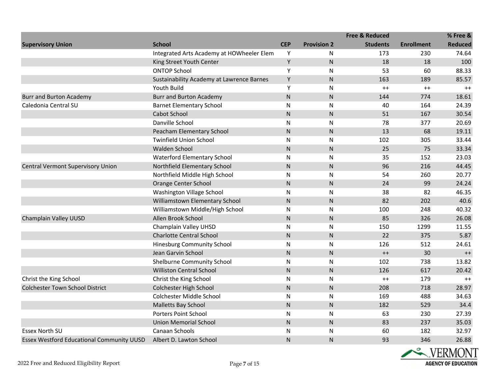|                                                  |                                           |            |                    | <b>Free &amp; Reduced</b> |                   | % Free &       |
|--------------------------------------------------|-------------------------------------------|------------|--------------------|---------------------------|-------------------|----------------|
| <b>Supervisory Union</b>                         | <b>School</b>                             | <b>CEP</b> | <b>Provision 2</b> | <b>Students</b>           | <b>Enrollment</b> | <b>Reduced</b> |
|                                                  | Integrated Arts Academy at HOWheeler Elem | Υ          | N                  | 173                       | 230               | 74.64          |
|                                                  | King Street Youth Center                  | Υ          | ${\sf N}$          | 18                        | 18                | 100            |
|                                                  | <b>ONTOP School</b>                       | Υ          | N                  | 53                        | 60                | 88.33          |
|                                                  | Sustainability Academy at Lawrence Barnes | Υ          | $\mathsf{N}$       | 163                       | 189               | 85.57          |
|                                                  | <b>Youth Build</b>                        | Υ          | N                  | $++$                      | $^{++}$           | $++$           |
| <b>Burr and Burton Academy</b>                   | <b>Burr and Burton Academy</b>            | ${\sf N}$  | ${\sf N}$          | 144                       | 774               | 18.61          |
| Caledonia Central SU                             | <b>Barnet Elementary School</b>           | ${\sf N}$  | N                  | 40                        | 164               | 24.39          |
|                                                  | <b>Cabot School</b>                       | ${\sf N}$  | N                  | 51                        | 167               | 30.54          |
|                                                  | Danville School                           | ${\sf N}$  | N                  | 78                        | 377               | 20.69          |
|                                                  | Peacham Elementary School                 | ${\sf N}$  | N.                 | 13                        | 68                | 19.11          |
|                                                  | <b>Twinfield Union School</b>             | ${\sf N}$  | N                  | 102                       | 305               | 33.44          |
|                                                  | <b>Walden School</b>                      | ${\sf N}$  | $\mathsf{N}$       | 25                        | 75                | 33.34          |
|                                                  | <b>Waterford Elementary School</b>        | N          | N                  | 35                        | 152               | 23.03          |
| Central Vermont Supervisory Union                | Northfield Elementary School              | ${\sf N}$  | $\mathsf{N}$       | 96                        | 216               | 44.45          |
|                                                  | Northfield Middle High School             | ${\sf N}$  | N                  | 54                        | 260               | 20.77          |
|                                                  | Orange Center School                      | ${\sf N}$  | $\mathsf{N}$       | 24                        | 99                | 24.24          |
|                                                  | Washington Village School                 | ${\sf N}$  | N                  | 38                        | 82                | 46.35          |
|                                                  | Williamstown Elementary School            | ${\sf N}$  | ${\sf N}$          | 82                        | 202               | 40.6           |
|                                                  | Williamstown Middle/High School           | N          | N                  | 100                       | 248               | 40.32          |
| Champlain Valley UUSD                            | Allen Brook School                        | ${\sf N}$  | N                  | 85                        | 326               | 26.08          |
|                                                  | Champlain Valley UHSD                     | ${\sf N}$  | N                  | 150                       | 1299              | 11.55          |
|                                                  | <b>Charlotte Central School</b>           | ${\sf N}$  | ${\sf N}$          | 22                        | 375               | 5.87           |
|                                                  | <b>Hinesburg Community School</b>         | N          | $\mathsf{N}$       | 126                       | 512               | 24.61          |
|                                                  | Jean Garvin School                        | ${\sf N}$  | $\mathsf{N}$       | $^{++}$                   | 30                | $^{++}$        |
|                                                  | Shelburne Community School                | ${\sf N}$  | N                  | 102                       | 738               | 13.82          |
|                                                  | <b>Williston Central School</b>           | ${\sf N}$  | ${\sf N}$          | 126                       | 617               | 20.42          |
| Christ the King School                           | Christ the King School                    | N          | N                  | $++$                      | 179               | $++$           |
| <b>Colchester Town School District</b>           | <b>Colchester High School</b>             | ${\sf N}$  | $\mathsf{N}$       | 208                       | 718               | 28.97          |
|                                                  | Colchester Middle School                  | ${\sf N}$  | N                  | 169                       | 488               | 34.63          |
|                                                  | Malletts Bay School                       | ${\sf N}$  | ${\sf N}$          | 182                       | 529               | 34.4           |
|                                                  | <b>Porters Point School</b>               | ${\sf N}$  | N                  | 63                        | 230               | 27.39          |
|                                                  | <b>Union Memorial School</b>              | ${\sf N}$  | $\mathsf{N}$       | 83                        | 237               | 35.03          |
| <b>Essex North SU</b>                            | Canaan Schools                            | ${\sf N}$  | N                  | 60                        | 182               | 32.97          |
| <b>Essex Westford Educational Community UUSD</b> | Albert D. Lawton School                   | ${\sf N}$  | N                  | 93                        | 346               | 26.88          |

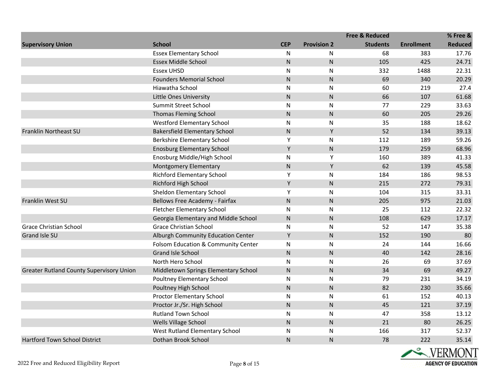|                                                 |                                      |            |                    | <b>Free &amp; Reduced</b> |                   | % Free &       |
|-------------------------------------------------|--------------------------------------|------------|--------------------|---------------------------|-------------------|----------------|
| <b>Supervisory Union</b>                        | <b>School</b>                        | <b>CEP</b> | <b>Provision 2</b> | <b>Students</b>           | <b>Enrollment</b> | <b>Reduced</b> |
|                                                 | <b>Essex Elementary School</b>       | N          | N                  | 68                        | 383               | 17.76          |
|                                                 | <b>Essex Middle School</b>           | ${\sf N}$  | ${\sf N}$          | 105                       | 425               | 24.71          |
|                                                 | <b>Essex UHSD</b>                    | N          | ${\sf N}$          | 332                       | 1488              | 22.31          |
|                                                 | <b>Founders Memorial School</b>      | ${\sf N}$  | ${\sf N}$          | 69                        | 340               | 20.29          |
|                                                 | Hiawatha School                      | N          | $\mathsf{N}$       | 60                        | 219               | 27.4           |
|                                                 | <b>Little Ones University</b>        | ${\sf N}$  | ${\sf N}$          | 66                        | 107               | 61.68          |
|                                                 | Summit Street School                 | ${\sf N}$  | ${\sf N}$          | 77                        | 229               | 33.63          |
|                                                 | <b>Thomas Fleming School</b>         | ${\sf N}$  | $\mathsf{N}$       | 60                        | 205               | 29.26          |
|                                                 | <b>Westford Elementary School</b>    | ${\sf N}$  | ${\sf N}$          | 35                        | 188               | 18.62          |
| Franklin Northeast SU                           | <b>Bakersfield Elementary School</b> | N          | Υ                  | 52                        | 134               | 39.13          |
|                                                 | <b>Berkshire Elementary School</b>   | Υ          | N                  | 112                       | 189               | 59.26          |
|                                                 | <b>Enosburg Elementary School</b>    | Υ          | ${\sf N}$          | 179                       | 259               | 68.96          |
|                                                 | Enosburg Middle/High School          | N          | Υ                  | 160                       | 389               | 41.33          |
|                                                 | Montgomery Elementary                | ${\sf N}$  | Υ                  | 62                        | 139               | 45.58          |
|                                                 | <b>Richford Elementary School</b>    | Υ          | $\mathsf{N}$       | 184                       | 186               | 98.53          |
|                                                 | <b>Richford High School</b>          | Y          | ${\sf N}$          | 215                       | 272               | 79.31          |
|                                                 | <b>Sheldon Elementary School</b>     | Υ          | $\mathsf{N}$       | 104                       | 315               | 33.31          |
| Franklin West SU                                | Bellows Free Academy - Fairfax       | ${\sf N}$  | ${\sf N}$          | 205                       | 975               | 21.03          |
|                                                 | Fletcher Elementary School           | ${\sf N}$  | ${\sf N}$          | 25                        | 112               | 22.32          |
|                                                 | Georgia Elementary and Middle School | ${\sf N}$  | $\mathsf{N}$       | 108                       | 629               | 17.17          |
| <b>Grace Christian School</b>                   | <b>Grace Christian School</b>        | ${\sf N}$  | N                  | 52                        | 147               | 35.38          |
| Grand Isle SU                                   | Alburgh Community Education Center   | Y          | ${\sf N}$          | 152                       | 190               | 80             |
|                                                 | Folsom Education & Community Center  | ${\sf N}$  | $\mathsf{N}$       | 24                        | 144               | 16.66          |
|                                                 | Grand Isle School                    | ${\sf N}$  | ${\sf N}$          | 40                        | 142               | 28.16          |
|                                                 | North Hero School                    | N          | ${\sf N}$          | 26                        | 69                | 37.69          |
| <b>Greater Rutland County Supervisory Union</b> | Middletown Springs Elementary School | ${\sf N}$  | $\mathsf{N}$       | 34                        | 69                | 49.27          |
|                                                 | Poultney Elementary School           | N          | $\mathsf{N}$       | 79                        | 231               | 34.19          |
|                                                 | Poultney High School                 | ${\sf N}$  | ${\sf N}$          | 82                        | 230               | 35.66          |
|                                                 | Proctor Elementary School            | N          | $\mathsf{N}$       | 61                        | 152               | 40.13          |
|                                                 | Proctor Jr./Sr. High School          | ${\sf N}$  | ${\sf N}$          | 45                        | 121               | 37.19          |
|                                                 | <b>Rutland Town School</b>           | ${\sf N}$  | N                  | 47                        | 358               | 13.12          |
|                                                 | Wells Village School                 | ${\sf N}$  | ${\sf N}$          | 21                        | 80                | 26.25          |
|                                                 | West Rutland Elementary School       | ${\sf N}$  | N                  | 166                       | 317               | 52.37          |
| Hartford Town School District                   | Dothan Brook School                  | ${\sf N}$  | $\mathsf{N}$       | 78                        | 222               | 35.14          |

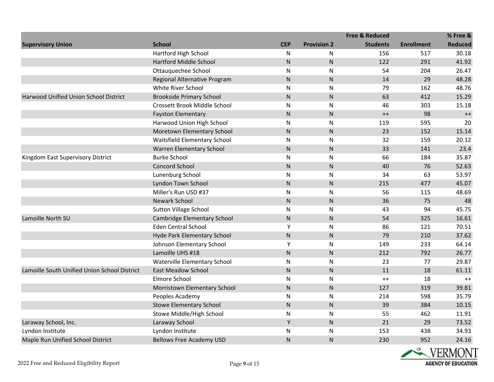|                                              |                                 |            |                    | <b>Free &amp; Reduced</b> |                   | % Free &       |
|----------------------------------------------|---------------------------------|------------|--------------------|---------------------------|-------------------|----------------|
| <b>Supervisory Union</b>                     | <b>School</b>                   | <b>CEP</b> | <b>Provision 2</b> | <b>Students</b>           | <b>Enrollment</b> | <b>Reduced</b> |
|                                              | Hartford High School            | N          | N                  | 156                       | 517               | 30.18          |
|                                              | <b>Hartford Middle School</b>   | ${\sf N}$  | ${\sf N}$          | 122                       | 291               | 41.92          |
|                                              | Ottauguechee School             | ${\sf N}$  | N                  | 54                        | 204               | 26.47          |
|                                              | Regional Alternative Program    | ${\sf N}$  | $\mathsf{N}$       | 14                        | 29                | 48.28          |
|                                              | White River School              | ${\sf N}$  | N                  | 79                        | 162               | 48.76          |
| Harwood Unified Union School District        | <b>Brookside Primary School</b> | ${\sf N}$  | $\mathsf{N}$       | 63                        | 412               | 15.29          |
|                                              | Crossett Brook Middle School    | ${\sf N}$  | ${\sf N}$          | 46                        | 303               | 15.18          |
|                                              | <b>Fayston Elementary</b>       | ${\sf N}$  | $\mathsf{N}$       | $^{++}$                   | 98                | $^{++}$        |
|                                              | Harwood Union High School       | ${\sf N}$  | N                  | 119                       | 595               | 20             |
|                                              | Moretown Elementary School      | ${\sf N}$  | ${\sf N}$          | 23                        | 152               | 15.14          |
|                                              | Waitsfield Elementary School    | ${\sf N}$  | N                  | 32                        | 159               | 20.12          |
|                                              | Warren Elementary School        | ${\sf N}$  | ${\sf N}$          | 33                        | 141               | 23.4           |
| Kingdom East Supervisory District            | <b>Burke School</b>             | ${\sf N}$  | ${\sf N}$          | 66                        | 184               | 35.87          |
|                                              | <b>Concord School</b>           | ${\sf N}$  | $\mathsf{N}$       | 40                        | 76                | 52.63          |
|                                              | Lunenburg School                | ${\sf N}$  | N                  | 34                        | 63                | 53.97          |
|                                              | Lyndon Town School              | ${\sf N}$  | ${\sf N}$          | 215                       | 477               | 45.07          |
|                                              | Miller's Run USD #37            | ${\sf N}$  | N                  | 56                        | 115               | 48.69          |
|                                              | Newark School                   | ${\sf N}$  | $\mathsf{N}$       | 36                        | 75                | 48             |
|                                              | <b>Sutton Village School</b>    | ${\sf N}$  | ${\sf N}$          | 43                        | 94                | 45.75          |
| Lamoille North SU                            | Cambridge Elementary School     | ${\sf N}$  | $\mathsf{N}$       | 54                        | 325               | 16.61          |
|                                              | <b>Eden Central School</b>      | Υ          | N                  | 86                        | 121               | 70.51          |
|                                              | Hyde Park Elementary School     | ${\sf N}$  | ${\sf N}$          | 79                        | 210               | 37.62          |
|                                              | Johnson Elementary School       | Υ          | N                  | 149                       | 233               | 64.14          |
|                                              | Lamoille UHS #18                | ${\sf N}$  | ${\sf N}$          | 212                       | 792               | 26.77          |
|                                              | Waterville Elementary School    | ${\sf N}$  | ${\sf N}$          | 23                        | 77                | 29.87          |
| Lamoille South Unified Union School District | <b>East Meadow School</b>       | ${\sf N}$  | $\mathsf{N}$       | 11                        | 18                | 61.11          |
|                                              | Elmore School                   | ${\sf N}$  | N                  | $++$                      | 18                | $++$           |
|                                              | Morristown Elementary School    | ${\sf N}$  | ${\sf N}$          | 127                       | 319               | 39.81          |
|                                              | Peoples Academy                 | ${\sf N}$  | N                  | 214                       | 598               | 35.79          |
|                                              | <b>Stowe Elementary School</b>  | ${\sf N}$  | $\mathsf{N}$       | 39                        | 384               | 10.15          |
|                                              | Stowe Middle/High School        | ${\sf N}$  | N                  | 55                        | 462               | 11.91          |
| Laraway School, Inc.                         | Laraway School                  | Υ          | ${\sf N}$          | 21                        | 29                | 73.52          |
| Lyndon Institute                             | Lyndon Institute                | ${\sf N}$  | N                  | 153                       | 438               | 34.93          |
| Maple Run Unified School District            | <b>Bellows Free Academy USD</b> | ${\sf N}$  | $\mathsf{N}$       | 230                       | 952               | 24.16          |

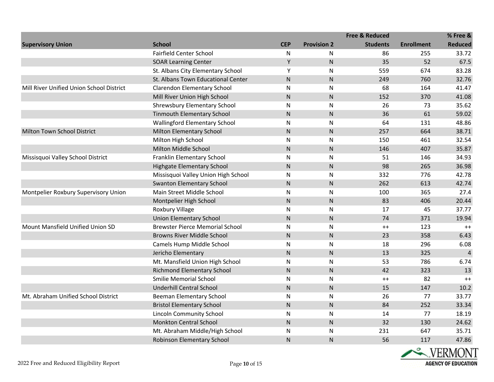|                                          |                                        |            |                    | <b>Free &amp; Reduced</b> |                   | % Free &       |
|------------------------------------------|----------------------------------------|------------|--------------------|---------------------------|-------------------|----------------|
| <b>Supervisory Union</b>                 | <b>School</b>                          | <b>CEP</b> | <b>Provision 2</b> | <b>Students</b>           | <b>Enrollment</b> | <b>Reduced</b> |
|                                          | <b>Fairfield Center School</b>         | N          | N                  | 86                        | 255               | 33.72          |
|                                          | <b>SOAR Learning Center</b>            | Υ          | $\mathsf{N}$       | 35                        | 52                | 67.5           |
|                                          | St. Albans City Elementary School      | Υ          | N                  | 559                       | 674               | 83.28          |
|                                          | St. Albans Town Educational Center     | ${\sf N}$  | $\mathsf{N}$       | 249                       | 760               | 32.76          |
| Mill River Unified Union School District | <b>Clarendon Elementary School</b>     | N          | N                  | 68                        | 164               | 41.47          |
|                                          | Mill River Union High School           | ${\sf N}$  | N                  | 152                       | 370               | 41.08          |
|                                          | Shrewsbury Elementary School           | ${\sf N}$  | N                  | 26                        | 73                | 35.62          |
|                                          | <b>Tinmouth Elementary School</b>      | ${\sf N}$  | ${\sf N}$          | 36                        | 61                | 59.02          |
|                                          | <b>Wallingford Elementary School</b>   | N          | ${\sf N}$          | 64                        | 131               | 48.86          |
| Milton Town School District              | <b>Milton Elementary School</b>        | ${\sf N}$  | $\mathsf{N}$       | 257                       | 664               | 38.71          |
|                                          | Milton High School                     | N          | N                  | 150                       | 461               | 32.54          |
|                                          | Milton Middle School                   | ${\sf N}$  | $\mathsf{N}$       | 146                       | 407               | 35.87          |
| Missisquoi Valley School District        | Franklin Elementary School             | ${\sf N}$  | N                  | 51                        | 146               | 34.93          |
|                                          | <b>Highgate Elementary School</b>      | ${\sf N}$  | ${\sf N}$          | 98                        | 265               | 36.98          |
|                                          | Missisquoi Valley Union High School    | N          | ${\sf N}$          | 332                       | 776               | 42.78          |
|                                          | <b>Swanton Elementary School</b>       | ${\sf N}$  | $\mathsf{N}$       | 262                       | 613               | 42.74          |
| Montpelier Roxbury Supervisory Union     | Main Street Middle School              | ${\sf N}$  | N                  | 100                       | 365               | 27.4           |
|                                          | Montpelier High School                 | ${\sf N}$  | $\mathsf{N}$       | 83                        | 406               | 20.44          |
|                                          | Roxbury Village                        | ${\sf N}$  | N                  | 17                        | 45                | 37.77          |
|                                          | <b>Union Elementary School</b>         | ${\sf N}$  | ${\sf N}$          | 74                        | 371               | 19.94          |
| Mount Mansfield Unified Union SD         | <b>Brewster Pierce Memorial School</b> | ${\sf N}$  | $\mathsf{N}$       | $^{++}$                   | 123               | $++$           |
|                                          | <b>Browns River Middle School</b>      | ${\sf N}$  | $\mathsf{N}$       | 23                        | 358               | 6.43           |
|                                          | Camels Hump Middle School              | N          | N                  | 18                        | 296               | 6.08           |
|                                          | Jericho Elementary                     | ${\sf N}$  | $\mathsf{N}$       | 13                        | 325               | $\overline{4}$ |
|                                          | Mt. Mansfield Union High School        | ${\sf N}$  | N                  | 53                        | 786               | 6.74           |
|                                          | <b>Richmond Elementary School</b>      | ${\sf N}$  | $\mathsf{N}$       | 42                        | 323               | 13             |
|                                          | <b>Smilie Memorial School</b>          | ${\sf N}$  | N                  | $++$                      | 82                | $++$           |
|                                          | <b>Underhill Central School</b>        | ${\sf N}$  | ${\sf N}$          | 15                        | 147               | 10.2           |
| Mt. Abraham Unified School District      | Beeman Elementary School               | N          | N                  | 26                        | 77                | 33.77          |
|                                          | <b>Bristol Elementary School</b>       | ${\sf N}$  | $\mathsf{N}$       | 84                        | 252               | 33.34          |
|                                          | <b>Lincoln Community School</b>        | N          | N                  | 14                        | 77                | 18.19          |
|                                          | <b>Monkton Central School</b>          | ${\sf N}$  | N.                 | 32                        | 130               | 24.62          |
|                                          | Mt. Abraham Middle/High School         | N          | N                  | 231                       | 647               | 35.71          |
|                                          | Robinson Elementary School             | ${\sf N}$  | N                  | 56                        | 117               | 47.86          |

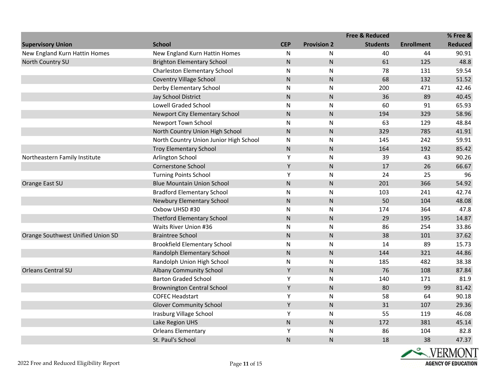|                                   |                                        |              |                    | <b>Free &amp; Reduced</b> |                   | % Free &       |
|-----------------------------------|----------------------------------------|--------------|--------------------|---------------------------|-------------------|----------------|
| <b>Supervisory Union</b>          | <b>School</b>                          | <b>CEP</b>   | <b>Provision 2</b> | <b>Students</b>           | <b>Enrollment</b> | <b>Reduced</b> |
| New England Kurn Hattin Homes     | New England Kurn Hattin Homes          | N            | N                  | 40                        | 44                | 90.91          |
| North Country SU                  | <b>Brighton Elementary School</b>      | ${\sf N}$    | $\mathsf{N}$       | 61                        | 125               | 48.8           |
|                                   | <b>Charleston Elementary School</b>    | ${\sf N}$    | N                  | 78                        | 131               | 59.54          |
|                                   | <b>Coventry Village School</b>         | ${\sf N}$    | N.                 | 68                        | 132               | 51.52          |
|                                   | Derby Elementary School                | ${\sf N}$    | N                  | 200                       | 471               | 42.46          |
|                                   | Jay School District                    | ${\sf N}$    | $\mathsf{N}$       | 36                        | 89                | 40.45          |
|                                   | <b>Lowell Graded School</b>            | $\mathsf{N}$ | N                  | 60                        | 91                | 65.93          |
|                                   | Newport City Elementary School         | ${\sf N}$    | ${\sf N}$          | 194                       | 329               | 58.96          |
|                                   | Newport Town School                    | $\mathsf{N}$ | N                  | 63                        | 129               | 48.84          |
|                                   | North Country Union High School        | ${\sf N}$    | $\mathsf{N}$       | 329                       | 785               | 41.91          |
|                                   | North Country Union Junior High School | N            | ${\sf N}$          | 145                       | 242               | 59.91          |
|                                   | <b>Troy Elementary School</b>          | ${\sf N}$    | $\mathsf{N}$       | 164                       | 192               | 85.42          |
| Northeastern Family Institute     | Arlington School                       | Υ            | N                  | 39                        | 43                | 90.26          |
|                                   | <b>Cornerstone School</b>              | Υ            | $\mathsf{N}$       | 17                        | 26                | 66.67          |
|                                   | <b>Turning Points School</b>           | Υ            | N                  | 24                        | 25                | 96             |
| Orange East SU                    | <b>Blue Mountain Union School</b>      | ${\sf N}$    | ${\sf N}$          | 201                       | 366               | 54.92          |
|                                   | <b>Bradford Elementary School</b>      | ${\sf N}$    | N                  | 103                       | 241               | 42.74          |
|                                   | Newbury Elementary School              | ${\sf N}$    | ${\sf N}$          | 50                        | 104               | 48.08          |
|                                   | Oxbow UHSD #30                         | ${\sf N}$    | $\mathsf{N}$       | 174                       | 364               | 47.8           |
|                                   | <b>Thetford Elementary School</b>      | ${\sf N}$    | $\mathsf{N}$       | 29                        | 195               | 14.87          |
|                                   | Waits River Union #36                  | ${\sf N}$    | ${\sf N}$          | 86                        | 254               | 33.86          |
| Orange Southwest Unified Union SD | <b>Braintree School</b>                | ${\sf N}$    | ${\sf N}$          | 38                        | 101               | 37.62          |
|                                   | <b>Brookfield Elementary School</b>    | ${\sf N}$    | N                  | 14                        | 89                | 15.73          |
|                                   | Randolph Elementary School             | ${\sf N}$    | ${\sf N}$          | 144                       | 321               | 44.86          |
|                                   | Randolph Union High School             | ${\sf N}$    | ${\sf N}$          | 185                       | 482               | 38.38          |
| <b>Orleans Central SU</b>         | <b>Albany Community School</b>         | Υ            | $\mathsf{N}$       | 76                        | 108               | 87.84          |
|                                   | <b>Barton Graded School</b>            | Υ            | N                  | 140                       | 171               | 81.9           |
|                                   | <b>Brownington Central School</b>      | Υ            | ${\sf N}$          | 80                        | 99                | 81.42          |
|                                   | <b>COFEC Headstart</b>                 | Υ            | N                  | 58                        | 64                | 90.18          |
|                                   | <b>Glover Community School</b>         | Υ            | ${\sf N}$          | 31                        | 107               | 29.36          |
|                                   | Irasburg Village School                | Υ            | N                  | 55                        | 119               | 46.08          |
|                                   | Lake Region UHS                        | ${\sf N}$    | N                  | 172                       | 381               | 45.14          |
|                                   | <b>Orleans Elementary</b>              | Υ            | N                  | 86                        | 104               | 82.8           |
|                                   | St. Paul's School                      | ${\sf N}$    | N                  | 18                        | 38                | 47.37          |

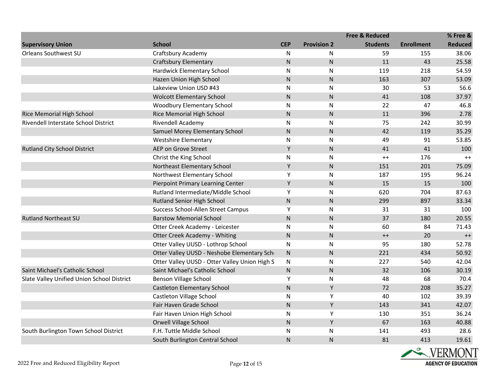|                                            |                                               |              |                    | <b>Free &amp; Reduced</b> |                   | % Free &       |
|--------------------------------------------|-----------------------------------------------|--------------|--------------------|---------------------------|-------------------|----------------|
| <b>Supervisory Union</b>                   | <b>School</b>                                 | <b>CEP</b>   | <b>Provision 2</b> | <b>Students</b>           | <b>Enrollment</b> | <b>Reduced</b> |
| Orleans Southwest SU                       | Craftsbury Academy                            | N            | N                  | 59                        | 155               | 38.06          |
|                                            | <b>Craftsbury Elementary</b>                  | ${\sf N}$    | $\mathsf{N}$       | 11                        | 43                | 25.58          |
|                                            | Hardwick Elementary School                    | N            | ${\sf N}$          | 119                       | 218               | 54.59          |
|                                            | Hazen Union High School                       | ${\sf N}$    | ${\sf N}$          | 163                       | 307               | 53.09          |
|                                            | Lakeview Union USD #43                        | N            | N                  | 30                        | 53                | 56.6           |
|                                            | <b>Wolcott Elementary School</b>              | ${\sf N}$    | $\mathsf{N}$       | 41                        | 108               | 37.97          |
|                                            | <b>Woodbury Elementary School</b>             | ${\sf N}$    | ${\sf N}$          | 22                        | 47                | 46.8           |
| Rice Memorial High School                  | Rice Memorial High School                     | ${\sf N}$    | $\mathsf{N}$       | 11                        | 396               | 2.78           |
| Rivendell Interstate School District       | <b>Rivendell Academy</b>                      | ${\sf N}$    | ${\sf N}$          | 75                        | 242               | 30.99          |
|                                            | Samuel Morey Elementary School                | ${\sf N}$    | ${\sf N}$          | 42                        | 119               | 35.29          |
|                                            | <b>Westshire Elementary</b>                   | N            | N                  | 49                        | 91                | 53.85          |
| <b>Rutland City School District</b>        | AEP on Grove Street                           | Υ            | ${\sf N}$          | 41                        | 41                | 100            |
|                                            | Christ the King School                        | N            | ${\sf N}$          | $++$                      | 176               | $++$           |
|                                            | Northeast Elementary School                   | Υ            | $\mathsf{N}$       | 151                       | 201               | 75.09          |
|                                            | Northwest Elementary School                   | Υ            | N                  | 187                       | 195               | 96.24          |
|                                            | Pierpoint Primary Learning Center             | Υ            | ${\sf N}$          | 15                        | 15                | 100            |
|                                            | Rutland Intermediate/Middle School            | Υ            | N                  | 620                       | 704               | 87.63          |
|                                            | Rutland Senior High School                    | ${\sf N}$    | $\mathsf{N}$       | 299                       | 897               | 33.34          |
|                                            | Success School-Allen Street Campus            | Υ            | ${\sf N}$          | 31                        | 31                | 100            |
| <b>Rutland Northeast SU</b>                | <b>Barstow Memorial School</b>                | $\mathsf{N}$ | $\mathsf{N}$       | 37                        | 180               | 20.55          |
|                                            | Otter Creek Academy - Leicester               | N            | $\mathsf{N}$       | 60                        | 84                | 71.43          |
|                                            | Otter Creek Academy - Whiting                 | ${\sf N}$    | ${\sf N}$          | $++$                      | 20                | $^{++}$        |
|                                            | Otter Valley UUSD - Lothrop School            | ${\sf N}$    | $\mathsf{N}$       | 95                        | 180               | 52.78          |
|                                            | Otter Valley UUSD - Neshobe Elementary Sch    | $\mathsf{N}$ | ${\sf N}$          | 221                       | 434               | 50.92          |
|                                            | Otter Valley UUSD - Otter Valley Union High S | N            | ${\sf N}$          | 227                       | 540               | 42.04          |
| Saint Michael's Catholic School            | Saint Michael's Catholic School               | N.           | $\mathsf{N}$       | 32                        | 106               | 30.19          |
| Slate Valley Unified Union School District | <b>Benson Village School</b>                  | Υ            | N                  | 48                        | 68                | 70.4           |
|                                            | <b>Castleton Elementary School</b>            | ${\sf N}$    | Y                  | 72                        | 208               | 35.27          |
|                                            | Castleton Village School                      | N            | Υ                  | 40                        | 102               | 39.39          |
|                                            | Fair Haven Grade School                       | ${\sf N}$    | Υ                  | 143                       | 341               | 42.07          |
|                                            | Fair Haven Union High School                  | ${\sf N}$    | Υ                  | 130                       | 351               | 36.24          |
|                                            | Orwell Village School                         | N            | Υ                  | 67                        | 163               | 40.88          |
| South Burlington Town School District      | F.H. Tuttle Middle School                     | ${\sf N}$    | $\mathsf{N}$       | 141                       | 493               | 28.6           |
|                                            | South Burlington Central School               | ${\sf N}$    | $\mathsf{N}$       | 81                        | 413               | 19.61          |

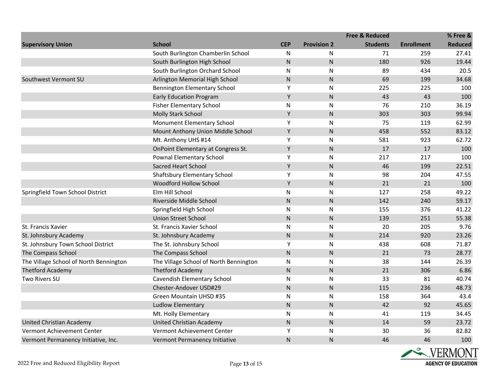|                                        |                                        |              |                    | <b>Free &amp; Reduced</b> |                   | % Free &       |
|----------------------------------------|----------------------------------------|--------------|--------------------|---------------------------|-------------------|----------------|
| <b>Supervisory Union</b>               | <b>School</b>                          | <b>CEP</b>   | <b>Provision 2</b> | <b>Students</b>           | <b>Enrollment</b> | <b>Reduced</b> |
|                                        | South Burlington Chamberlin School     | N            | N                  | 71                        | 259               | 27.41          |
|                                        | South Burlington High School           | ${\sf N}$    | ${\sf N}$          | 180                       | 926               | 19.44          |
|                                        | South Burlington Orchard School        | ${\sf N}$    | N                  | 89                        | 434               | 20.5           |
| Southwest Vermont SU                   | Arlington Memorial High School         | ${\sf N}$    | N.                 | 69                        | 199               | 34.68          |
|                                        | Bennington Elementary School           | Υ            | N                  | 225                       | 225               | 100            |
|                                        | <b>Early Education Program</b>         | Υ            | ${\sf N}$          | 43                        | 43                | 100            |
|                                        | <b>Fisher Elementary School</b>        | ${\sf N}$    | $\mathsf{N}$       | 76                        | 210               | 36.19          |
|                                        | Molly Stark School                     | Υ            | $\mathsf{N}$       | 303                       | 303               | 99.94          |
|                                        | Monument Elementary School             | Υ            | N                  | 75                        | 119               | 62.99          |
|                                        | Mount Anthony Union Middle School      | Υ            | $\mathsf{N}$       | 458                       | 552               | 83.12          |
|                                        | Mt. Anthony UHS #14                    | Y            | N                  | 581                       | 923               | 62.72          |
|                                        | OnPoint Elementary at Congress St.     | Υ            | ${\sf N}$          | 17                        | 17                | 100            |
|                                        | Pownal Elementary School               | Υ            | ${\sf N}$          | 217                       | 217               | 100            |
|                                        | Sacred Heart School                    | Υ            | $\mathsf{N}$       | 46                        | 199               | 22.51          |
|                                        | Shaftsbury Elementary School           | Υ            | N                  | 98                        | 204               | 47.55          |
|                                        | Woodford Hollow School                 | Υ            | ${\sf N}$          | 21                        | 21                | 100            |
| Springfield Town School District       | Elm Hill School                        | ${\sf N}$    | N                  | 127                       | 258               | 49.22          |
|                                        | Riverside Middle School                | ${\sf N}$    | $\mathsf{N}$       | 142                       | 240               | 59.17          |
|                                        | Springfield High School                | ${\sf N}$    | N                  | 155                       | 376               | 41.22          |
|                                        | <b>Union Street School</b>             | ${\sf N}$    | $\mathsf{N}$       | 139                       | 251               | 55.38          |
| St. Francis Xavier                     | St. Francis Xavier School              | ${\sf N}$    | N                  | 20                        | 205               | 9.76           |
| St. Johnsbury Academy                  | St. Johnsbury Academy                  | $\mathsf{N}$ | $\mathsf{N}$       | 214                       | 920               | 23.26          |
| St. Johnsbury Town School District     | The St. Johnsbury School               | Υ            | N                  | 438                       | 608               | 71.87          |
| The Compass School                     | The Compass School                     | ${\sf N}$    | ${\sf N}$          | 21                        | 73                | 28.77          |
| The Village School of North Bennington | The Village School of North Bennington | ${\sf N}$    | N                  | 38                        | 144               | 26.39          |
| <b>Thetford Academy</b>                | <b>Thetford Academy</b>                | ${\sf N}$    | $\mathsf{N}$       | 21                        | 306               | 6.86           |
| Two Rivers SU                          | Cavendish Elementary School            | ${\sf N}$    | N                  | 33                        | 81                | 40.74          |
|                                        | Chester-Andover USD#29                 | ${\sf N}$    | $\mathsf{N}$       | 115                       | 236               | 48.73          |
|                                        | Green Mountain UHSD #35                | ${\sf N}$    | N                  | 158                       | 364               | 43.4           |
|                                        | <b>Ludlow Elementary</b>               | ${\sf N}$    | ${\sf N}$          | 42                        | 92                | 45.65          |
|                                        | Mt. Holly Elementary                   | N            | N                  | 41                        | 119               | 34.45          |
| <b>United Christian Academy</b>        | United Christian Academy               | ${\sf N}$    | $\mathsf{N}$       | 14                        | 59                | 23.72          |
| Vermont Achievement Center             | Vermont Achievement Center             | Υ            | N                  | 30                        | 36                | 82.82          |
| Vermont Permanency Initiative, Inc.    | Vermont Permanency Initiative          | ${\sf N}$    | N                  | 46                        | 46                | 100            |

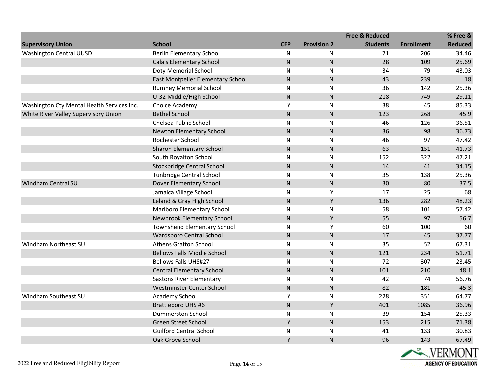|                                            |                                    |            |                    | <b>Free &amp; Reduced</b> |                   | % Free &       |
|--------------------------------------------|------------------------------------|------------|--------------------|---------------------------|-------------------|----------------|
| <b>Supervisory Union</b>                   | <b>School</b>                      | <b>CEP</b> | <b>Provision 2</b> | <b>Students</b>           | <b>Enrollment</b> | <b>Reduced</b> |
| <b>Washington Central UUSD</b>             | <b>Berlin Elementary School</b>    | N          | N                  | 71                        | 206               | 34.46          |
|                                            | <b>Calais Elementary School</b>    | ${\sf N}$  | ${\sf N}$          | 28                        | 109               | 25.69          |
|                                            | Doty Memorial School               | ${\sf N}$  | ${\sf N}$          | 34                        | 79                | 43.03          |
|                                            | East Montpelier Elementary School  | ${\sf N}$  | $\mathsf{N}$       | 43                        | 239               | 18             |
|                                            | <b>Rumney Memorial School</b>      | ${\sf N}$  | $\mathsf{N}$       | 36                        | 142               | 25.36          |
|                                            | U-32 Middle/High School            | ${\sf N}$  | ${\sf N}$          | 218                       | 749               | 29.11          |
| Washington Cty Mental Health Services Inc. | Choice Academy                     | Y          | N                  | 38                        | 45                | 85.33          |
| White River Valley Supervisory Union       | <b>Bethel School</b>               | ${\sf N}$  | ${\sf N}$          | 123                       | 268               | 45.9           |
|                                            | Chelsea Public School              | ${\sf N}$  | ${\sf N}$          | 46                        | 126               | 36.51          |
|                                            | Newton Elementary School           | ${\sf N}$  | $\mathsf{N}$       | 36                        | 98                | 36.73          |
|                                            | Rochester School                   | ${\sf N}$  | N                  | 46                        | 97                | 47.42          |
|                                            | Sharon Elementary School           | ${\sf N}$  | $\mathsf{N}$       | 63                        | 151               | 41.73          |
|                                            | South Royalton School              | ${\sf N}$  | N                  | 152                       | 322               | 47.21          |
|                                            | Stockbridge Central School         | ${\sf N}$  | ${\sf N}$          | 14                        | 41                | 34.15          |
|                                            | Tunbridge Central School           | ${\sf N}$  | ${\sf N}$          | 35                        | 138               | 25.36          |
| Windham Central SU                         | Dover Elementary School            | ${\sf N}$  | ${\sf N}$          | 30                        | 80                | 37.5           |
|                                            | Jamaica Village School             | ${\sf N}$  | Υ                  | 17                        | 25                | 68             |
|                                            | Leland & Gray High School          | ${\sf N}$  | Y                  | 136                       | 282               | 48.23          |
|                                            | Marlboro Elementary School         | ${\sf N}$  | N                  | 58                        | 101               | 57.42          |
|                                            | Newbrook Elementary School         | ${\sf N}$  | Y                  | 55                        | 97                | 56.7           |
|                                            | Townshend Elementary School        | ${\sf N}$  | Υ                  | 60                        | 100               | 60             |
|                                            | Wardsboro Central School           | ${\sf N}$  | $\mathsf{N}$       | 17                        | 45                | 37.77          |
| Windham Northeast SU                       | <b>Athens Grafton School</b>       | ${\sf N}$  | N                  | 35                        | 52                | 67.31          |
|                                            | <b>Bellows Falls Middle School</b> | ${\sf N}$  | $\mathsf{N}$       | 121                       | 234               | 51.71          |
|                                            | <b>Bellows Falls UHS#27</b>        | ${\sf N}$  | $\mathsf{N}$       | 72                        | 307               | 23.45          |
|                                            | <b>Central Elementary School</b>   | ${\sf N}$  | $\mathsf{N}$       | 101                       | 210               | 48.1           |
|                                            | <b>Saxtons River Elementary</b>    | ${\sf N}$  | $\mathsf{N}$       | 42                        | 74                | 56.76          |
|                                            | Westminster Center School          | ${\sf N}$  | ${\sf N}$          | 82                        | 181               | 45.3           |
| Windham Southeast SU                       | Academy School                     | Υ          | N                  | 228                       | 351               | 64.77          |
|                                            | <b>Brattleboro UHS #6</b>          | ${\sf N}$  | Y                  | 401                       | 1085              | 36.96          |
|                                            | <b>Dummerston School</b>           | ${\sf N}$  | $\mathsf{N}$       | 39                        | 154               | 25.33          |
|                                            | Green Street School                | Υ          | ${\sf N}$          | 153                       | 215               | 71.38          |
|                                            | <b>Guilford Central School</b>     | ${\sf N}$  | N                  | 41                        | 133               | 30.83          |
|                                            | Oak Grove School                   | Y          | $\mathsf{N}$       | 96                        | 143               | 67.49          |